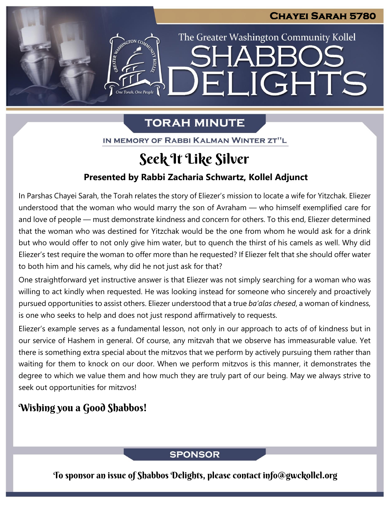The Greater Washington Community Kollel

ELIGHTS

# **TORAH MINUTE**

IN MEMORY OF RABBI KALMAN WINTER ZT"L

# Seek It Like Silver

## **Presented by Rabbi Zacharia Schwartz, Kollel Adjunct**

In Parshas Chayei Sarah, the Torah relates the story of Eliezer's mission to locate a wife for Yitzchak. Eliezer understood that the woman who would marry the son of Avraham — who himself exemplified care for and love of people — must demonstrate kindness and concern for others. To this end, Eliezer determined that the woman who was destined for Yitzchak would be the one from whom he would ask for a drink but who would offer to not only give him water, but to quench the thirst of his camels as well. Why did Eliezer's test require the woman to offer more than he requested? If Eliezer felt that she should offer water to both him and his camels, why did he not just ask for that?

One straightforward yet instructive answer is that Eliezer was not simply searching for a woman who was willing to act kindly when requested. He was looking instead for someone who sincerely and proactively pursued opportunities to assist others. Eliezer understood that a true *ba'alas chesed*, a woman of kindness, is one who seeks to help and does not just respond affirmatively to requests.

Eliezer's example serves as a fundamental lesson, not only in our approach to acts of of kindness but in our service of Hashem in general. Of course, any mitzvah that we observe has immeasurable value. Yet there is something extra special about the mitzvos that we perform by actively pursuing them rather than waiting for them to knock on our door. When we perform mitzvos is this manner, it demonstrates the degree to which we value them and how much they are truly part of our being. May we always strive to seek out opportunities for mitzvos!

# Wishing you a Good Shabbos!

# **SPONSOR**

To sponsor an issue of Shabbos Delights, please contact info@gwckollel.org